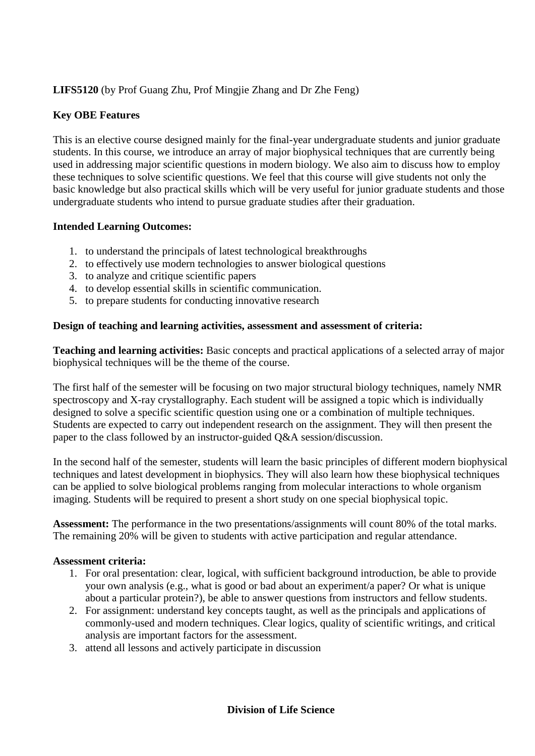# **LIFS5120** (by Prof Guang Zhu, Prof Mingjie Zhang and Dr Zhe Feng)

## **Key OBE Features**

This is an elective course designed mainly for the final-year undergraduate students and junior graduate students. In this course, we introduce an array of major biophysical techniques that are currently being used in addressing major scientific questions in modern biology. We also aim to discuss how to employ these techniques to solve scientific questions. We feel that this course will give students not only the basic knowledge but also practical skills which will be very useful for junior graduate students and those undergraduate students who intend to pursue graduate studies after their graduation.

### **Intended Learning Outcomes:**

- 1. to understand the principals of latest technological breakthroughs
- 2. to effectively use modern technologies to answer biological questions
- 3. to analyze and critique scientific papers
- 4. to develop essential skills in scientific communication.
- 5. to prepare students for conducting innovative research

### **Design of teaching and learning activities, assessment and assessment of criteria:**

**Teaching and learning activities:** Basic concepts and practical applications of a selected array of major biophysical techniques will be the theme of the course.

The first half of the semester will be focusing on two major structural biology techniques, namely NMR spectroscopy and X-ray crystallography. Each student will be assigned a topic which is individually designed to solve a specific scientific question using one or a combination of multiple techniques. Students are expected to carry out independent research on the assignment. They will then present the paper to the class followed by an instructor-guided Q&A session/discussion.

In the second half of the semester, students will learn the basic principles of different modern biophysical techniques and latest development in biophysics. They will also learn how these biophysical techniques can be applied to solve biological problems ranging from molecular interactions to whole organism imaging. Students will be required to present a short study on one special biophysical topic.

**Assessment:** The performance in the two presentations/assignments will count 80% of the total marks. The remaining 20% will be given to students with active participation and regular attendance.

### **Assessment criteria:**

- 1. For oral presentation: clear, logical, with sufficient background introduction, be able to provide your own analysis (e.g., what is good or bad about an experiment/a paper? Or what is unique about a particular protein?), be able to answer questions from instructors and fellow students.
- 2. For assignment: understand key concepts taught, as well as the principals and applications of commonly-used and modern techniques. Clear logics, quality of scientific writings, and critical analysis are important factors for the assessment.
- 3. attend all lessons and actively participate in discussion